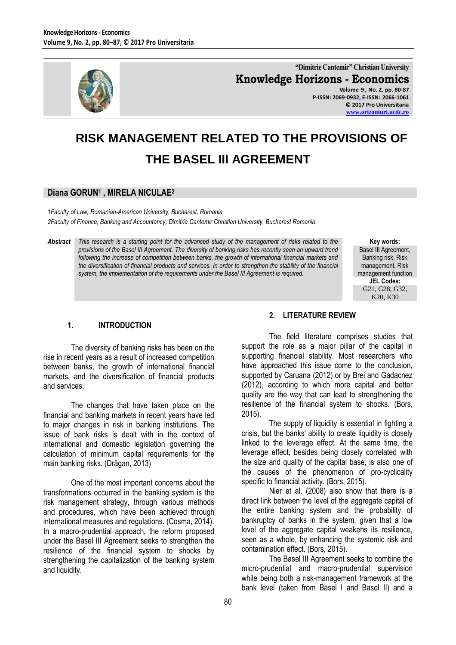

**"Dimitrie Cantemir" Christian University Knowledge Horizons - Economics Volume 9 , No. 2, pp. 80-87 P-ISSN: 2069-0932, E-ISSN: 2066-1061 © 2017 Pro Universitaria**

**[www.orizonturi.ucdc.ro](http://www.orizonturi.ucdc.ro/)**

# **RISK MANAGEMENT RELATED TO THE PROVISIONS OF THE BASEL III AGREEMENT**

## **Diana GORUN<sup>1</sup> , MIRELA NICULAE<sup>2</sup>**

*1Faculty of Law, Romanian-American University, Bucharest, Romania 2Faculty of Finance, Banking and Accountancy, Dimitrie Cantemir Christian University, Bucharest Romania*

*Abstract This research is a starting point for the advanced study of the management of risks related to the provisions of the Basel III Agreement. The diversity of banking risks has recently seen an upward trend following the increase of competition between banks, the growth of international financial markets and the diversification of financial products and services. In order to strengthen the stability of the financial system, the implementation of the requirements under the Basel III Agreement is required.* 

**Key words:** Basel III Agreement. Banking risk, Risk management, Risk management function **JEL Codes:** G21, G28, G32, K20, K30

## **1. INTRODUCTION**

The diversity of banking risks has been on the rise in recent years as a result of increased competition between banks, the growth of international financial markets, and the diversification of financial products and services.

The changes that have taken place on the financial and banking markets in recent years have led to major changes in risk in banking institutions. The issue of bank risks is dealt with in the context of international and domestic legislation governing the calculation of minimum capital requirements for the main banking risks. (Drăgan, 2013)

One of the most important concerns about the transformations occurred in the banking system is the risk management strategy, through various methods and procedures, which have been achieved through international measures and regulations. (Cosma, 2014). In a macro-prudential approach, the reform proposed under the Basel III Agreement seeks to strengthen the resilience of the financial system to shocks by strengthening the capitalization of the banking system and liquidity.

#### **2. LITERATURE REVIEW**

The field literature comprises studies that support the role as a major pillar of the capital in supporting financial stability. Most researchers who have approached this issue come to the conclusion. supported by Caruana (2012) or by Brei and Gadacnez (2012), according to which more capital and better quality are the way that can lead to strengthening the resilience of the financial system to shocks. (Bors, 2015).

The supply of liquidity is essential in fighting a crisis, but the banks' ability to create liquidity is closely linked to the leverage effect. At the same time, the leverage effect, besides being closely correlated with the size and quality of the capital base, is also one of the causes of the phenomenon of pro-cyclicality specific to financial activity. (Bors, 2015).

Nier et al. (2008) also show that there is a direct link between the level of the aggregate capital of the entire banking system and the probability of bankruptcy of banks in the system, given that a low level of the aggregate capital weakens its resilience, seen as a whole, by enhancing the systemic risk and contamination effect. (Bors, 2015).

The Basel III Agreement seeks to combine the micro-prudential and macro-prudential supervision while being both a risk-management framework at the bank level (taken from Basel I and Basel II) and a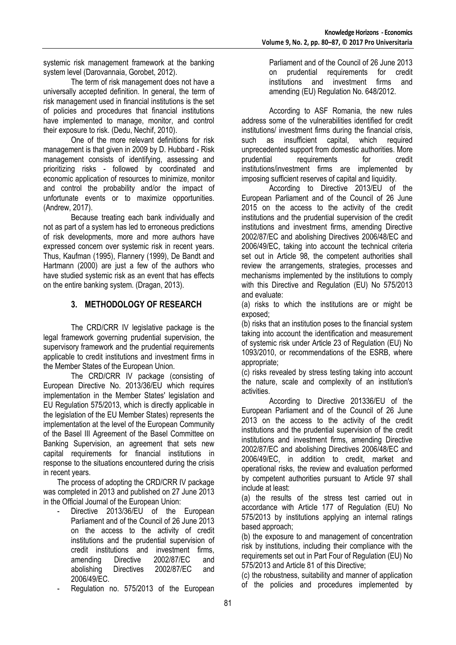systemic risk management framework at the banking system level (Darovannaia, Gorobet, 2012).

The term of risk management does not have a universally accepted definition. In general, the term of risk management used in financial institutions is the set of policies and procedures that financial institutions have implemented to manage, monitor, and control their exposure to risk. (Dedu, Nechif, 2010).

One of the more relevant definitions for risk management is that given in 2009 by D. Hubbard - Risk management consists of identifying, assessing and prioritizing risks - followed by coordinated and economic application of resources to minimize, monitor and control the probability and/or the impact of unfortunate events or to maximize opportunities. (Andrew, 2017).

Because treating each bank individually and not as part of a system has led to erroneous predictions of risk developments, more and more authors have expressed concern over systemic risk in recent years. Thus, Kaufman (1995), Flannery (1999), De Bandt and Hartmann (2000) are just a few of the authors who have studied systemic risk as an event that has effects on the entire banking system. (Dragan, 2013).

# **3. METHODOLOGY OF RESEARCH**

The CRD/CRR IV legislative package is the legal framework governing prudential supervision, the supervisory framework and the prudential requirements applicable to credit institutions and investment firms in the Member States of the European Union.

The CRD/CRR IV package (consisting of European Directive No. 2013/36/EU which requires implementation in the Member States' legislation and EU Regulation 575/2013, which is directly applicable in the legislation of the EU Member States) represents the implementation at the level of the European Community of the Basel III Agreement of the Basel Committee on Banking Supervision, an agreement that sets new capital requirements for financial institutions in response to the situations encountered during the crisis in recent years.

The process of adopting the CRD/CRR IV package was completed in 2013 and published on 27 June 2013 in the Official Journal of the European Union:

- Directive 2013/36/EU of the European Parliament and of the Council of 26 June 2013 on the access to the activity of credit institutions and the prudential supervision of credit institutions and investment firms, amending Directive 2002/87/EC and abolishing Directives 2002/87/EC and 2006/49/EC.
- Regulation no. 575/2013 of the European

Parliament and of the Council of 26 June 2013 on prudential requirements for credit institutions and investment firms and amending (EU) Regulation No. 648/2012.

According to ASF Romania, the new rules address some of the vulnerabilities identified for credit institutions/ investment firms during the financial crisis,<br>such as insufficient capital, which required such as insufficient capital, which unprecedented support from domestic authorities. More prudential requirements for credit institutions/investment firms are implemented by imposing sufficient reserves of capital and liquidity.

According to Directive 2013/EU of the European Parliament and of the Council of 26 June 2015 on the access to the activity of the credit institutions and the prudential supervision of the credit institutions and investment firms, amending Directive 2002/87/EC and abolishing Directives 2006/48/EC and 2006/49/EC, taking into account the technical criteria set out in Article 98, the competent authorities shall review the arrangements, strategies, processes and mechanisms implemented by the institutions to comply with this Directive and Regulation (EU) No 575/2013 and evaluate:

(a) risks to which the institutions are or might be exposed;

(b) risks that an institution poses to the financial system taking into account the identification and measurement of systemic risk under Article 23 of Regulation (EU) No 1093/2010, or recommendations of the ESRB, where appropriate;

(c) risks revealed by stress testing taking into account the nature, scale and complexity of an institution's activities.

According to Directive 201336/EU of the European Parliament and of the Council of 26 June 2013 on the access to the activity of the credit institutions and the prudential supervision of the credit institutions and investment firms, amending Directive 2002/87/EC and abolishing Directives 2006/48/EC and 2006/49/EC, in addition to credit, market and operational risks, the review and evaluation performed by competent authorities pursuant to Article 97 shall include at least:

(a) the results of the stress test carried out in accordance with Article 177 of Regulation (EU) No 575/2013 by institutions applying an internal ratings based approach;

(b) the exposure to and management of concentration risk by institutions, including their compliance with the requirements set out in Part Four of Regulation (EU) No 575/2013 and Article 81 of this Directive;

(c) the robustness, suitability and manner of application of the policies and procedures implemented by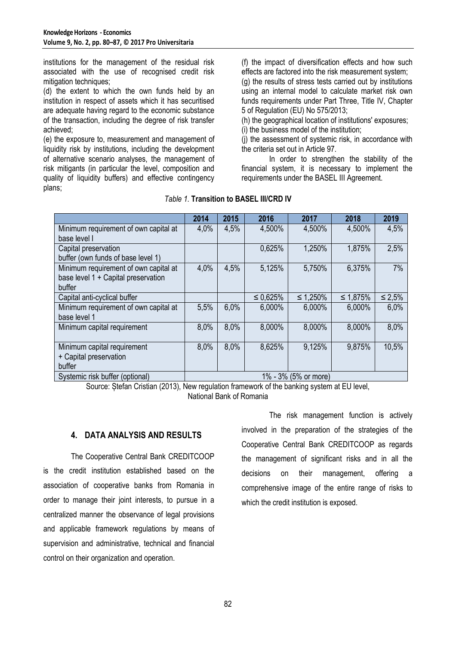institutions for the management of the residual risk associated with the use of recognised credit risk mitigation techniques:

(d) the extent to which the own funds held by an institution in respect of assets which it has securitised are adequate having regard to the economic substance of the transaction, including the degree of risk transfer achieved;

(e) the exposure to, measurement and management of liquidity risk by institutions, including the development of alternative scenario analyses, the management of risk mitigants (in particular the level, composition and quality of liquidity buffers) and effective contingency plans;

(f) the impact of diversification effects and how such effects are factored into the risk measurement system; (g) the results of stress tests carried out by institutions using an internal model to calculate market risk own funds requirements under Part Three, Title IV, Chapter 5 of Regulation (EU) No 575/2013;

(h) the geographical location of institutions' exposures; (i) the business model of the institution;

(j) the assessment of systemic risk, in accordance with the criteria set out in Article 97.

In order to strengthen the stability of the financial system, it is necessary to implement the requirements under the BASEL III Agreement.

|                                       | 2014 | 2015 | 2016           | 2017                 | 2018           | 2019         |
|---------------------------------------|------|------|----------------|----------------------|----------------|--------------|
| Minimum requirement of own capital at | 4,0% | 4,5% | 4,500%         | 4,500%               | 4,500%         | 4,5%         |
| base level I                          |      |      |                |                      |                |              |
| Capital preservation                  |      |      | 0,625%         | 1,250%               | 1,875%         | 2,5%         |
| buffer (own funds of base level 1)    |      |      |                |                      |                |              |
| Minimum requirement of own capital at | 4,0% | 4,5% | 5,125%         | 5,750%               | 6,375%         | 7%           |
| base level 1 + Capital preservation   |      |      |                |                      |                |              |
| buffer                                |      |      |                |                      |                |              |
| Capital anti-cyclical buffer          |      |      | $\leq 0.625\%$ | $\leq 1,250\%$       | $\leq 1,875\%$ | $\leq 2.5\%$ |
| Minimum requirement of own capital at | 5,5% | 6,0% | 6,000%         | 6,000%               | 6,000%         | 6,0%         |
| base level 1                          |      |      |                |                      |                |              |
| Minimum capital requirement           | 8,0% | 8,0% | 8,000%         | 8,000%               | 8,000%         | 8,0%         |
|                                       |      |      |                |                      |                |              |
| Minimum capital requirement           | 8,0% | 8,0% | 8,625%         | 9,125%               | 9,875%         | 10,5%        |
| + Capital preservation                |      |      |                |                      |                |              |
| buffer                                |      |      |                |                      |                |              |
| Systemic risk buffer (optional)       |      |      |                | 1% - 3% (5% or more) |                |              |

## *Table 1.* **Transition to BASEL III/CRD IV**

Source: Ștefan Cristian (2013), New regulation framework of the banking system at EU level, National Bank of Romania

#### **4. DATA ANALYSIS AND RESULTS**

The Cooperative Central Bank CREDITCOOP is the credit institution established based on the association of cooperative banks from Romania in order to manage their joint interests, to pursue in a centralized manner the observance of legal provisions and applicable framework regulations by means of supervision and administrative, technical and financial control on their organization and operation.

The risk management function is actively involved in the preparation of the strategies of the Cooperative Central Bank CREDITCOOP as regards the management of significant risks and in all the decisions on their management, offering a comprehensive image of the entire range of risks to which the credit institution is exposed.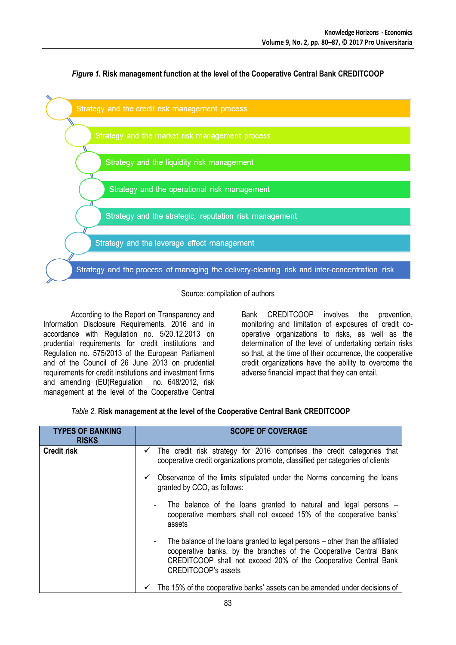

*Figure 1.* **Risk management function at the level of the Cooperative Central Bank CREDITCOOP**

Source: compilation of authors

According to the Report on Transparency and Information Disclosure Requirements, 2016 and in accordance with Regulation no. 5/20.12.2013 on prudential requirements for credit institutions and Regulation no. 575/2013 of the European Parliament and of the Council of 26 June 2013 on prudential requirements for credit institutions and investment firms and amending (EU)Regulation no. 648/2012, risk management at the level of the Cooperative Central Bank CREDITCOOP involves the prevention, monitoring and limitation of exposures of credit cooperative organizations to risks, as well as the determination of the level of undertaking certain risks so that, at the time of their occurrence, the cooperative credit organizations have the ability to overcome the adverse financial impact that they can entail.

|  |  |  | Table 2. Risk management at the level of the Cooperative Central Bank CREDITCOOP |  |  |
|--|--|--|----------------------------------------------------------------------------------|--|--|
|--|--|--|----------------------------------------------------------------------------------|--|--|

| <b>TYPES OF BANKING</b><br><b>RISKS</b> | <b>SCOPE OF COVERAGE</b>                                                                                                                                                                                                                             |
|-----------------------------------------|------------------------------------------------------------------------------------------------------------------------------------------------------------------------------------------------------------------------------------------------------|
| <b>Credit risk</b>                      | The credit risk strategy for 2016 comprises the credit categories that<br>$\checkmark$<br>cooperative credit organizations promote, classified per categories of clients                                                                             |
|                                         | Observance of the limits stipulated under the Norms concerning the loans<br>$\checkmark$<br>granted by CCO, as follows:                                                                                                                              |
|                                         | The balance of the loans granted to natural and legal persons -<br>cooperative members shall not exceed 15% of the cooperative banks'<br>assets                                                                                                      |
|                                         | The balance of the loans granted to legal persons – other than the affiliated<br>cooperative banks, by the branches of the Cooperative Central Bank<br>CREDITCOOP shall not exceed 20% of the Cooperative Central Bank<br><b>CREDITCOOP's assets</b> |
|                                         | The 15% of the cooperative banks' assets can be amended under decisions of                                                                                                                                                                           |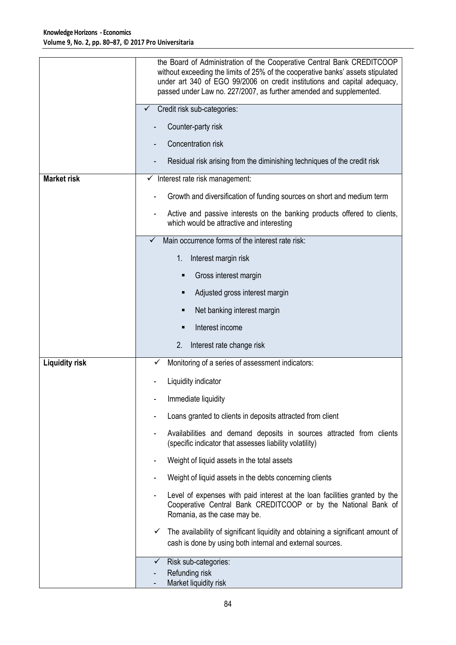|                       | the Board of Administration of the Cooperative Central Bank CREDITCOOP<br>without exceeding the limits of 25% of the cooperative banks' assets stipulated<br>under art 340 of EGO 99/2006 on credit institutions and capital adequacy,<br>passed under Law no. 227/2007, as further amended and supplemented. |
|-----------------------|---------------------------------------------------------------------------------------------------------------------------------------------------------------------------------------------------------------------------------------------------------------------------------------------------------------|
|                       | Credit risk sub-categories:                                                                                                                                                                                                                                                                                   |
|                       | Counter-party risk                                                                                                                                                                                                                                                                                            |
|                       | Concentration risk                                                                                                                                                                                                                                                                                            |
|                       | Residual risk arising from the diminishing techniques of the credit risk                                                                                                                                                                                                                                      |
| <b>Market risk</b>    | Interest rate risk management:<br>v,                                                                                                                                                                                                                                                                          |
|                       | Growth and diversification of funding sources on short and medium term                                                                                                                                                                                                                                        |
|                       | Active and passive interests on the banking products offered to clients,<br>which would be attractive and interesting                                                                                                                                                                                         |
|                       | Main occurrence forms of the interest rate risk:                                                                                                                                                                                                                                                              |
|                       | 1.<br>Interest margin risk                                                                                                                                                                                                                                                                                    |
|                       | Gross interest margin                                                                                                                                                                                                                                                                                         |
|                       | Adjusted gross interest margin                                                                                                                                                                                                                                                                                |
|                       | Net banking interest margin                                                                                                                                                                                                                                                                                   |
|                       | Interest income                                                                                                                                                                                                                                                                                               |
|                       | 2.<br>Interest rate change risk                                                                                                                                                                                                                                                                               |
| <b>Liquidity risk</b> | Monitoring of a series of assessment indicators:<br>✓                                                                                                                                                                                                                                                         |
|                       | Liquidity indicator                                                                                                                                                                                                                                                                                           |
|                       | Immediate liquidity                                                                                                                                                                                                                                                                                           |
|                       | Loans granted to clients in deposits attracted from client                                                                                                                                                                                                                                                    |
|                       | Availabilities and demand deposits in sources attracted from clients<br>(specific indicator that assesses liability volatility)                                                                                                                                                                               |
|                       | Weight of liquid assets in the total assets                                                                                                                                                                                                                                                                   |
|                       | Weight of liquid assets in the debts concerning clients                                                                                                                                                                                                                                                       |
|                       | Level of expenses with paid interest at the loan facilities granted by the<br>Cooperative Central Bank CREDITCOOP or by the National Bank of<br>Romania, as the case may be.                                                                                                                                  |
|                       | The availability of significant liquidity and obtaining a significant amount of<br>✓<br>cash is done by using both internal and external sources.                                                                                                                                                             |
|                       | Risk sub-categories:<br>✓<br>Refunding risk<br>Market liquidity risk                                                                                                                                                                                                                                          |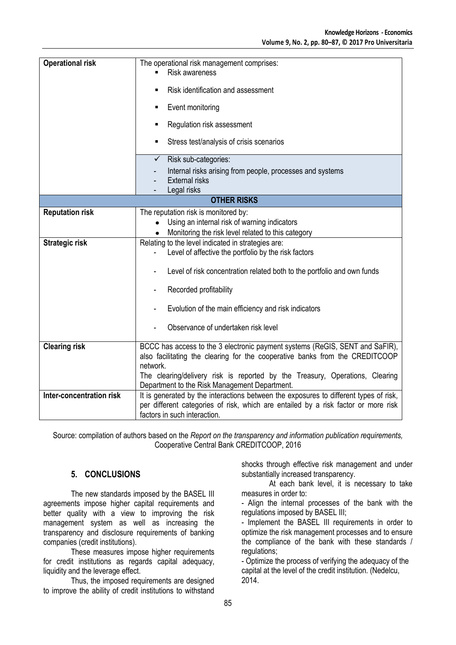| <b>Operational risk</b>  | The operational risk management comprises:                                                                                                                               |  |  |
|--------------------------|--------------------------------------------------------------------------------------------------------------------------------------------------------------------------|--|--|
|                          | <b>Risk awareness</b>                                                                                                                                                    |  |  |
|                          |                                                                                                                                                                          |  |  |
|                          | Risk identification and assessment<br>٠                                                                                                                                  |  |  |
|                          | Event monitoring<br>٠                                                                                                                                                    |  |  |
|                          | Regulation risk assessment                                                                                                                                               |  |  |
|                          | Stress test/analysis of crisis scenarios<br>٠                                                                                                                            |  |  |
|                          | Risk sub-categories:<br>✓                                                                                                                                                |  |  |
|                          | Internal risks arising from people, processes and systems                                                                                                                |  |  |
|                          | <b>External risks</b>                                                                                                                                                    |  |  |
|                          | Legal risks                                                                                                                                                              |  |  |
| <b>OTHER RISKS</b>       |                                                                                                                                                                          |  |  |
| <b>Reputation risk</b>   | The reputation risk is monitored by:                                                                                                                                     |  |  |
|                          | Using an internal risk of warning indicators<br>$\bullet$                                                                                                                |  |  |
|                          | Monitoring the risk level related to this category                                                                                                                       |  |  |
| <b>Strategic risk</b>    | Relating to the level indicated in strategies are:                                                                                                                       |  |  |
|                          | Level of affective the portfolio by the risk factors                                                                                                                     |  |  |
|                          | Level of risk concentration related both to the portfolio and own funds                                                                                                  |  |  |
|                          | Recorded profitability                                                                                                                                                   |  |  |
|                          | Evolution of the main efficiency and risk indicators                                                                                                                     |  |  |
|                          | Observance of undertaken risk level                                                                                                                                      |  |  |
| <b>Clearing risk</b>     | BCCC has access to the 3 electronic payment systems (ReGIS, SENT and SaFIR),<br>also facilitating the clearing for the cooperative banks from the CREDITCOOP<br>network. |  |  |
|                          | The clearing/delivery risk is reported by the Treasury, Operations, Clearing<br>Department to the Risk Management Department.                                            |  |  |
| Inter-concentration risk | It is generated by the interactions between the exposures to different types of risk,                                                                                    |  |  |
|                          | per different categories of risk, which are entailed by a risk factor or more risk                                                                                       |  |  |
|                          | factors in such interaction.                                                                                                                                             |  |  |

Source: compilation of authors based on the *Report on the transparency and information publication requirements,*  Cooperative Central Bank CREDITCOOP, 2016

## **5. CONCLUSIONS**

The new standards imposed by the BASEL III agreements impose higher capital requirements and better quality with a view to improving the risk management system as well as increasing the transparency and disclosure requirements of banking companies (credit institutions).

These measures impose higher requirements for credit institutions as regards capital adequacy, liquidity and the leverage effect.

Thus, the imposed requirements are designed to improve the ability of credit institutions to withstand shocks through effective risk management and under substantially increased transparency.

At each bank level, it is necessary to take measures in order to:

- Align the internal processes of the bank with the regulations imposed by BASEL III;

- Implement the BASEL III requirements in order to optimize the risk management processes and to ensure the compliance of the bank with these standards / regulations;

- Optimize the process of verifying the adequacy of the capital at the level of the credit institution. (Nedelcu, 2014.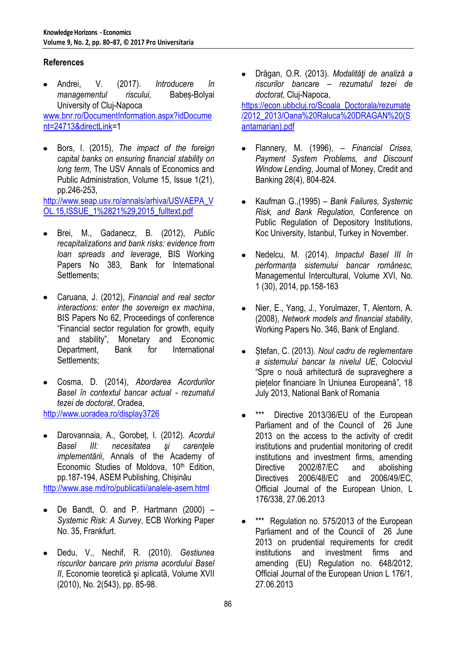# **References**

- Andrei, V. (2017). *Introducere în managementul riscului,* Babeș-Bolyai University of Cluj-Napoca [www.bnr.ro/DocumentInformation.aspx?idDocume](http://www.bnr.ro/DocumentInformation.aspx?idDocument=24713&directLink) [nt=24713&directLink=](http://www.bnr.ro/DocumentInformation.aspx?idDocument=24713&directLink)1
- Bors, I. (2015), *The impact of the foreign capital banks on ensuring financial stability on long term*, The USV Annals of Economics and Public Administration, Volume 15, Issue 1(21), pp.246-253,

[http://www.seap.usv.ro/annals/arhiva/USVAEPA\\_V](http://www.seap.usv.ro/annals/arhiva/USVAEPA_VOL.15,ISSUE_1%2821%29,2015_fulltext.pdf) [OL.15,ISSUE\\_1%2821%29,2015\\_fulltext.pdf](http://www.seap.usv.ro/annals/arhiva/USVAEPA_VOL.15,ISSUE_1%2821%29,2015_fulltext.pdf)

- Brei, M., Gadanecz, B. (2012), *Public recapitalizations and bank risks: evidence from loan spreads and leverage*, BIS Working Papers No 383, Bank for International Settlements;
- Caruana, J. (2012), *Financial and real sector interactions: enter the sovereign ex machina*, BIS Papers No 62, Proceedings of conference "Financial sector regulation for growth, equity and stability", Monetary and Economic Department, Bank for International Settlements;
- Cosma, D. (2014), *Abordarea Acordurilor Basel în contextul bancar actual - rezumatul tezei de doctorat*, Oradea, <http://www.uoradea.ro/display3726>
- Darovannaia, A., Gorobeț, I. (2012). *Acordul Basel III: necesitatea şi carenţele implementării*, Annals of the Academy of Economic Studies of Moldova, 10<sup>th</sup> Edition, pp.187-194, ASEM Publishing, Chișinău <http://www.ase.md/ro/publicatii/analele-asem.html>
- De Bandt, O. and P. Hartmann (2000) *Systemic Risk: A Survey*, ECB Working Paper No. 35, Frankfurt.
- Dedu, V., Nechif, R. (2010). *Gestiunea riscurilor bancare prin prisma acordului Basel II*, Economie teoretică şi aplicată, Volume XVII (2010), No. 2(543), pp. 85-98.

Drăgan, O.R. (2013). *Modalităţi de analiză a*   $\bullet$ *riscurilor bancare – rezumatul tezei de doctorat,* Cluj-Napoca,

[https://econ.ubbcluj.ro/Scoala\\_Doctorala/rezumate](https://econ.ubbcluj.ro/Scoala_Doctorala/rezumate/2012_2013/Oana%20Raluca%20DRAGAN%20(Santamarian).pdf) [/2012\\_2013/Oana%20Raluca%20DRAGAN%20\(S](https://econ.ubbcluj.ro/Scoala_Doctorala/rezumate/2012_2013/Oana%20Raluca%20DRAGAN%20(Santamarian).pdf) [antamarian\).pdf](https://econ.ubbcluj.ro/Scoala_Doctorala/rezumate/2012_2013/Oana%20Raluca%20DRAGAN%20(Santamarian).pdf)

- Flannery, M. (1996), *– Financial Crises, Payment System Problems, and Discount Window Lending*, Journal of Money, Credit and Banking 28(4), 804-824.
- Kaufman G.,(1995) *Bank Failures, Systemic*   $\bullet$ *Risk, and Bank Regulation,* Conference on Public Regulation of Depository Institutions, Koc University, Istanbul, Turkey in November.
- $\bullet$ Nedelcu, M. (2014). *Impactul Basel III în performanța sistemului bancar românesc,*  Managementul Intercultural, Volume XVI, No. 1 (30), 2014, pp.158-163
- Nier, E., Yang, J., Yorulmazer, T, Alentorn, A.  $\bullet$ (2008), *Network models and financial stability*, Working Papers No. 346, Bank of England.
- Ștefan, C. (2013). *Noul cadru de reglementare*   $\bullet$ *a sistemului bancar la nivelul UE*, Colocviul "Spre o nouă arhitectură de supraveghere a piețelor financiare în Uniunea Europeană", 18 July 2013, National Bank of Romania
- \*\*\* Directive 2013/36/EU of the European Parliament and of the Council of 26 June 2013 on the access to the activity of credit institutions and prudential monitoring of credit institutions and investment firms, amending Directive 2002/87/EC and abolishing Directives 2006/48/EC and 2006/49/EC, Official Journal of the European Union, L 176/338, 27.06.2013
- \*\*\* Regulation no. 575/2013 of the European Parliament and of the Council of 26 June 2013 on prudential requirements for credit institutions and investment firms and amending (EU) Regulation no. 648/2012, Official Journal of the European Union L 176/1, 27.06.2013